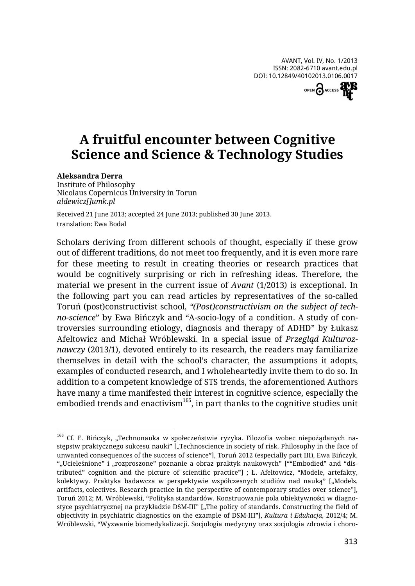

## **A fruitful encounter between Cognitive Science and Science & Technology Studies**

## **Aleksandra Derra**

Institute of Philosophy Nicolaus Copernicus University in Torun *aldewicz[]umk.pl*

Received 21 June 2013; accepted 24 June 2013; published 30 June 2013. translation: Ewa Bodal

Scholars deriving from different schools of thought, especially if these grow out of different traditions, do not meet too frequently, and it is even more rare for these meeting to result in creating theories or research practices that would be cognitively surprising or rich in refreshing ideas. Therefore, the material we present in the current issue of *Avant* (1/2013) is exceptional. In the following part you can read articles by representatives of the so-called Toruń (post)constructivist school, *"(Post)constructivism on the subject of techno-science*" by Ewa Bińczyk and "A-socio-logy of a condition. A study of controversies surrounding etiology, diagnosis and therapy of ADHD" by Łukasz Afeltowicz and Michał Wróblewski. In a special issue of *Przegląd Kulturoznawczy* (2013/1), devoted entirely to its research, the readers may familiarize themselves in detail with the school's character, the assumptions it adopts, examples of conducted research, and I wholeheartedly invite them to do so. In addition to a competent knowledge of STS trends, the aforementioned Authors have many a time manifested their interest in cognitive science, especially the  $embodied$  trends and enactivism<sup>165</sup>, in part thanks to the cognitive studies unit

 $\overline{a}$  $^{165}$  Cf. E. Bińczyk, "Technonauka w społeczeństwie ryzyka. Filozofia wobec niepożądanych następstw praktycznego sukcesu nauki" ["Technoscience in society of risk. Philosophy in the face of unwanted consequences of the success of science"], Toruń 2012 (especially part III), Ewa Bińczyk, ", Ucieleśnione" i "rozproszone" poznanie a obraz praktyk naukowych" ["Embodied" and "distributed" cognition and the picture of scientific practice"] ; Ł. Afeltowicz, "Modele, artefakty, kolektywy. Praktyka badawcza w perspektywie współczesnych studiów nad nauką" ["Models, artifacts, colectives. Research practice in the perspective of contemporary studies over science"], Toruń 2012; M. Wróblewski, "Polityka standardów. Konstruowanie pola obiektywności w diagnostyce psychiatrycznej na przykładzie DSM-III" ["The policy of standards. Constructing the field of objectivity in psychiatric diagnostics on the example of DSM-III"], *Kultura i Edukacja*, 2012/4; M. Wróblewski, "Wyzwanie biomedykalizacji. Socjologia medycyny oraz socjologia zdrowia i choro-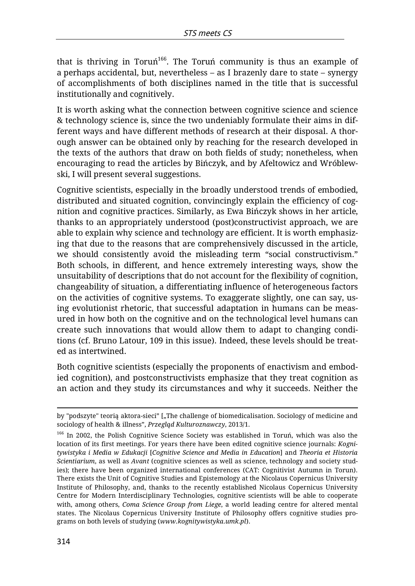that is thriving in Toruń $^{166}$ . The Toruń community is thus an example of a perhaps accidental, but, nevertheless – as I brazenly dare to state – synergy of accomplishments of both disciplines named in the title that is successful institutionally and cognitively.

It is worth asking what the connection between cognitive science and science & technology science is, since the two undeniably formulate their aims in different ways and have different methods of research at their disposal. A thorough answer can be obtained only by reaching for the research developed in the texts of the authors that draw on both fields of study; nonetheless, when encouraging to read the articles by Bińczyk, and by Afeltowicz and Wróblewski, I will present several suggestions.

Cognitive scientists, especially in the broadly understood trends of embodied, distributed and situated cognition, convincingly explain the efficiency of cognition and cognitive practices. Similarly, as Ewa Bińczyk shows in her article, thanks to an appropriately understood (post)constructivist approach, we are able to explain why science and technology are efficient. It is worth emphasizing that due to the reasons that are comprehensively discussed in the article, we should consistently avoid the misleading term "social constructivism." Both schools, in different, and hence extremely interesting ways, show the unsuitability of descriptions that do not account for the flexibility of cognition, changeability of situation, a differentiating influence of heterogeneous factors on the activities of cognitive systems. To exaggerate slightly, one can say, using evolutionist rhetoric, that successful adaptation in humans can be measured in how both on the cognitive and on the technological level humans can create such innovations that would allow them to adapt to changing conditions (cf. Bruno Latour, 109 in this issue). Indeed, these levels should be treated as intertwined.

Both cognitive scientists (especially the proponents of enactivism and embodied cognition), and postconstructivists emphasize that they treat cognition as an action and they study its circumstances and why it succeeds. Neither the

<sup>1</sup> by "podszyte" teorią aktora-sieci" ["The challenge of biomedicalisation. Sociology of medicine and sociology of health & illness", *Przegląd Kulturoznawczy*, 2013/1.

<sup>&</sup>lt;sup>166</sup> In 2002, the Polish Cognitive Science Society was established in Toruń, which was also the location of its first meetings. For years there have been edited cognitive science journals: *Kognitywistyka i Media w Edukacji* [*Cognitive Science and Media in Education*] and *Theoria et Historia Scientiarium*, as well as *Avant* (cognitive sciences as well as science, technology and society studies); there have been organized international conferences (CAT: Cognitivist Autumn in Torun). There exists the Unit of Cognitive Studies and Epistemology at the Nicolaus Copernicus University Institute of Philosophy, and, thanks to the recently established Nicolaus Copernicus University Centre for Modern Interdisciplinary Technologies, cognitive scientists will be able to cooperate with, among others, *Coma Science Group from Liege*, a world leading centre for altered mental states. The Nicolaus Copernicus University Institute of Philosophy offers cognitive studies programs on both levels of studying (*www.kognitywistyka.umk.pl*).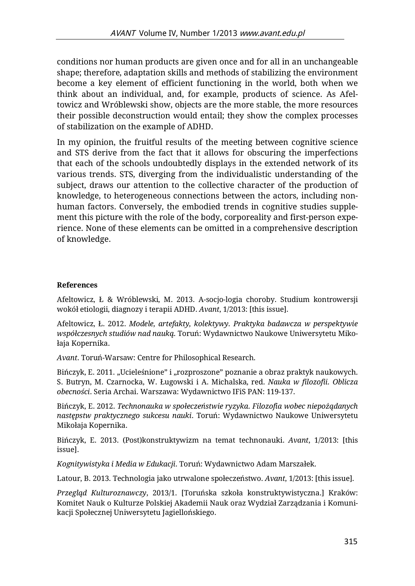conditions nor human products are given once and for all in an unchangeable shape; therefore, adaptation skills and methods of stabilizing the environment become a key element of efficient functioning in the world, both when we think about an individual, and, for example, products of science. As Afeltowicz and Wróblewski show, objects are the more stable, the more resources their possible deconstruction would entail; they show the complex processes of stabilization on the example of ADHD.

In my opinion, the fruitful results of the meeting between cognitive science and STS derive from the fact that it allows for obscuring the imperfections that each of the schools undoubtedly displays in the extended network of its various trends. STS, diverging from the individualistic understanding of the subject, draws our attention to the collective character of the production of knowledge, to heterogeneous connections between the actors, including nonhuman factors. Conversely, the embodied trends in cognitive studies supplement this picture with the role of the body, corporeality and first-person experience. None of these elements can be omitted in a comprehensive description of knowledge.

## **References**

Afeltowicz, Ł & Wróblewski, M. 2013. A-socjo-logia choroby. Studium kontrowersji wokół etiologii, diagnozy i terapii ADHD. *Avant*, 1/2013: [this issue].

Afeltowicz, Ł. 2012. *Modele, artefakty, kolektywy. Praktyka badawcza w perspektywie współczesnych studiów nad nauką*. Toruń: Wydawnictwo Naukowe Uniwersytetu Mikołaja Kopernika.

*Avant*. Toruń-Warsaw: Centre for Philosophical Research.

Bińczyk, E. 2011. "Ucieleśnione" i "rozproszone" poznanie a obraz praktyk naukowych. S. Butryn, M. Czarnocka, W. Ługowski i A. Michalska, red. *Nauka w filozofii. Oblicza obecności*. Seria Archai. Warszawa: Wydawnictwo IFiS PAN: 119-137.

Bińczyk, E. 2012. *Technonauka w społeczeństwie ryzyka. Filozofia wobec niepożądanych następstw praktycznego sukcesu nauki*. Toruń: Wydawnictwo Naukowe Uniwersytetu Mikołaja Kopernika.

Bińczyk, E. 2013. (Post)konstruktywizm na temat technonauki. *Avant*, 1/2013: [this issue].

*Kognitywistyka i Media w Edukacji*. Toruń: Wydawnictwo Adam Marszałek.

Latour, B. 2013. Technologia jako utrwalone społeczeństwo. *Avant*, 1/2013: [this issue].

*Przegląd Kulturoznawczy*, 2013/1. [Toruńska szkoła konstruktywistyczna.] Kraków: Komitet Nauk o Kulturze Polskiej Akademii Nauk oraz Wydział Zarządzania i Komunikacji Społecznej Uniwersytetu Jagiellońskiego.